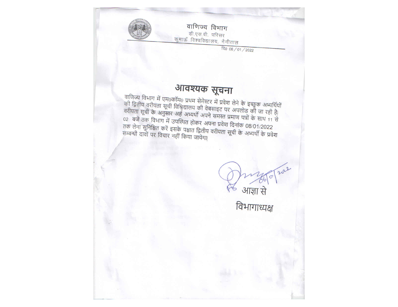वाणिज्य विभाग डी.एस.बी. परिसर कुमाऊँ विश्वविद्यालय, नैनीताल

दि0 06/01/2022

## आवश्यक सूचना

वाणिज्य विभाग में एम0कॉम0 प्रथम सेमेस्टर में प्रवेश लेने के इच्छुक अभ्यर्थियों याद्युज्य जिल्लामा न उनस्परागर भूत्रका समस्य स्वत्र सम्पाद्युज्य आन्ध्रान्य ।<br>की द्वितीय वरीयता सूची विश्विद्यालय की वेबसाइट पर अपलोड की जा रही है।<br>वरीयता सूची के अनुसार अर्ह अभ्यर्थी अपने समस्त प्रमाण पत्रों के साथ 11 से 02 बजे तक विभाग में उपस्थित होकर अपना प्रवेश दिनांक 08/01/2022 तक लेना सुनिश्चित करें इसके पश्चात द्वितीय वरीयता सूची के अभ्यर्थी के प्रवेश<br>सम्बन्धी दावों पर विचार नहीं किया जायेगा|

202 आज्ञा से  $\overline{\epsilon}$ 

विभागाध्यक्ष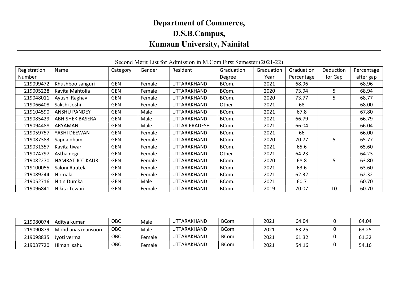## Department of Commerce, D.S.B.Campus, Kumaun University, Nainital

## Registration Number Name Category Gender Resident Graduation Degree Graduation Year Graduation Percentage Deduction for Gap Percentage after gap 219099472 Khushboo sanguri GEN Female UTTARAKHAND BCom. 2021 68.96 | 68.96 68.96 219005228 | Kavita Mahtolia | GEN | Female | UTTARAKHAND | BCom. | 2020 | 73.94 | 5 | 68.94 219048011 | Ayushi Raghav | GEN | Female | UTTARAKHAND | BCom. | 2020 | 73.77 | 5 | 68.77 219066408 | Sakshi Joshi | GEN | Female | UTTARAKHAND | Other | 2021 | 68 | | 68.00 219104590 | ANSHU PANDEY | GEN | Male | UTTARAKHAND | BCom. | 2021 | 67.8 | | 67.80 219085429 | ABHISHEK BASERA | GEN | Male | UTTARAKHAND | BCom. | 2021 | 66.79 | 66.79 | 66.79 219094488 ARYAMAN TGEN Male UTTAR PRADESH BCom. 2021 66.04 | 66.04 | 66.04 219059757 YASHI DEEWAN GEN Female UTTARAKHAND BCom. 2021 66 66.00 219087383 | Sapna dhami | GEN | Female | UTTARAKHAND | BCom. | 2020 | 70.77 | 5 | 65.77 219031357 | Kavita tiwari | GEN | Female | UTTARAKHAND | BCom. | 2021 | 65.6 | | 65.60 219074797 | Astha negi | GEN | Female | UTTARAKHAND | Other | | | 64.23 | | 64.23 219082270 | NAMRAT JOT KAUR | GEN | Female | UTTARAKHAND | BCom. | 2020 | 68.8 | 5 | 63.80 219100055 | Saloni Rautela | GEN | Female | UTTARAKHAND | BCom. | 2021 | 63.6 | | 63.60 219089244 | Nirmala | GEN | Female | UTTARAKHAND | BCom. | 2021 | 62.32 | | 62.32 219052716 | Nitin Dumka | GEN | Male | UTTARAKHAND | BCom. | 2021 | 60.7 | | 60.70 219096841 | Nikita Tewari | GEN | Female | UTTARAKHAND | BCom. | 2019 | 70.07 | 10 | 60.70

| Second Merit List for Admission in M.Com First Semester (2021-22) |  |  |  |  |  |  |
|-------------------------------------------------------------------|--|--|--|--|--|--|
|-------------------------------------------------------------------|--|--|--|--|--|--|

| 219080074 | Aditva kumar       | ОВС | Male   | UTTARAKHAND | BCom. | 2021 | 64.04 | 64.04 |
|-----------|--------------------|-----|--------|-------------|-------|------|-------|-------|
| 219090879 | Mohd anas mansoori | ОВС | Male   | UTTARAKHAND | BCom. | 2021 | 63.25 | 63.25 |
| 219098835 | Jvoti verma        | ОВС | Female | UTTARAKHAND | BCom. | 2021 | 61.32 | 61.32 |
| 219037720 | Himani sahu        | ОВС | Female | UTTARAKHAND | BCom. | 2021 | 54.16 | 54.16 |